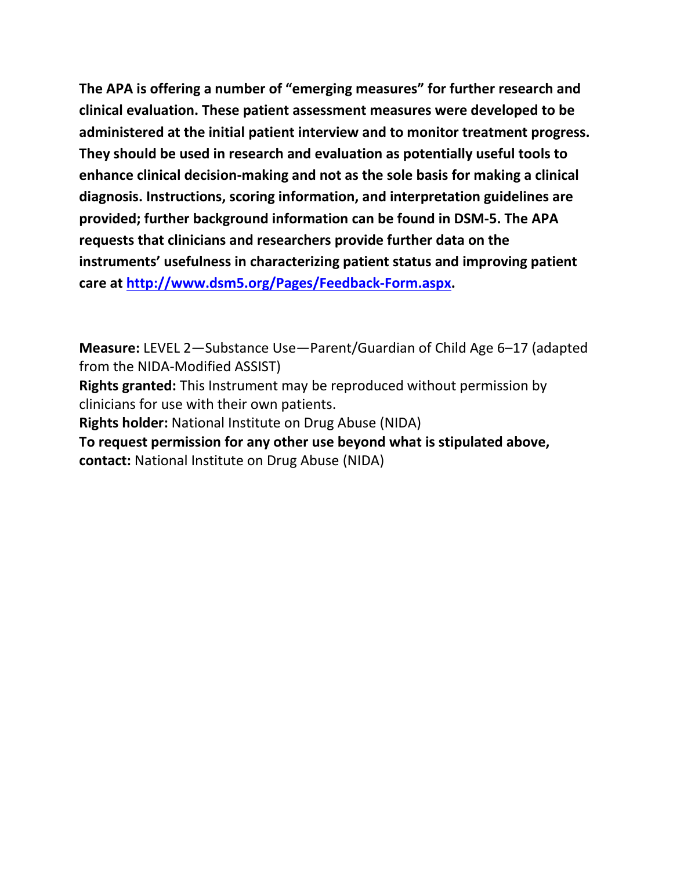**The APA is offering a number of "emerging measures" for further research and clinical evaluation. These patient assessment measures were developed to be administered at the initial patient interview and to monitor treatment progress. They should be used in research and evaluation as potentially useful tools to enhance clinical decision-making and not as the sole basis for making a clinical diagnosis. Instructions, scoring information, and interpretation guidelines are provided; further background information can be found in DSM-5. The APA requests that clinicians and researchers provide further data on the instruments' usefulness in characterizing patient status and improving patient care at [http://www.dsm5.org/Pages/Feedback-Form.aspx.](http://www.dsm5.org/Pages/Feedback-Form.aspx)**

**Measure:** LEVEL 2—Substance Use—Parent/Guardian of Child Age 6–17 (adapted from the NIDA-Modified ASSIST)

**Rights granted:** This Instrument may be reproduced without permission by clinicians for use with their own patients.

**Rights holder:** National Institute on Drug Abuse (NIDA)

**To request permission for any other use beyond what is stipulated above, contact:** National Institute on Drug Abuse (NIDA)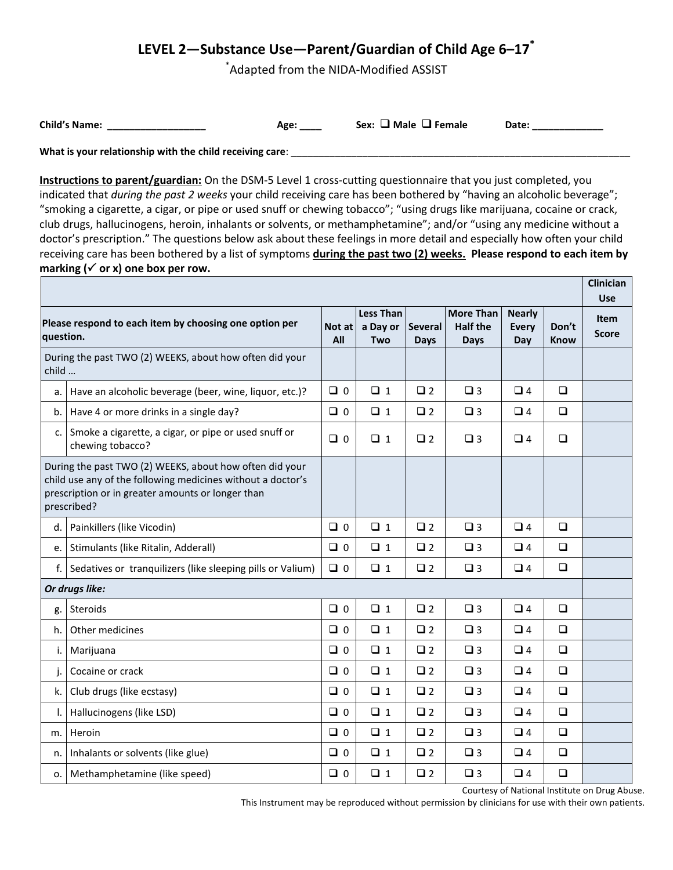## **LEVEL 2—Substance Use—Parent/Guardian of Child Age 6–17\***

\* Adapted from the NIDA-Modified ASSIST

**Child's Name:** \_\_\_\_\_\_\_\_\_\_\_\_\_\_\_\_\_\_\_\_\_\_\_\_ Age: \_\_\_\_ Sex: □ Male □ Female Date: \_\_\_\_\_\_\_\_\_

What is your relationship with the child receiving care: \_\_\_\_\_\_\_\_\_\_\_\_\_\_\_\_\_\_\_\_\_\_\_

**Instructions to parent/guardian:** On the DSM-5 Level 1 cross-cutting questionnaire that you just completed, you indicated that *during the past 2 weeks* your child receiving care has been bothered by "having an alcoholic beverage"; "smoking a cigarette, a cigar, or pipe or used snuff or chewing tobacco"; "using drugs like marijuana, cocaine or crack, club drugs, hallucinogens, heroin, inhalants or solvents, or methamphetamine"; and/or "using any medicine without a doctor's prescription." The questions below ask about these feelings in more detail and especially how often your child receiving care has been bothered by a list of symptoms **during the past two (2) weeks. Please respond to each item by**  marking  $(\checkmark)$  or x) one box per row. **Clinician** 

|                                                                                                                                                                                            |                                                                          |               |                                     |                        |                                                    |                                      |               | Ciinician<br><b>Use</b>     |
|--------------------------------------------------------------------------------------------------------------------------------------------------------------------------------------------|--------------------------------------------------------------------------|---------------|-------------------------------------|------------------------|----------------------------------------------------|--------------------------------------|---------------|-----------------------------|
| Please respond to each item by choosing one option per<br>question.                                                                                                                        |                                                                          | Not at<br>All | <b>Less Than</b><br>a Day or<br>Two | <b>Several</b><br>Days | <b>More Than</b><br><b>Half the</b><br><b>Days</b> | <b>Nearly</b><br><b>Every</b><br>Day | Don't<br>Know | <b>Item</b><br><b>Score</b> |
| During the past TWO (2) WEEKS, about how often did your<br>child                                                                                                                           |                                                                          |               |                                     |                        |                                                    |                                      |               |                             |
| a.                                                                                                                                                                                         | Have an alcoholic beverage (beer, wine, liquor, etc.)?                   | $\Box$ 0      | $\Box$ 1                            | $\square$ 2            | $\square$ 3                                        | $\Box$ 4                             | $\Box$        |                             |
| b.                                                                                                                                                                                         | Have 4 or more drinks in a single day?                                   | $\Box$ 0      | $\Box$ 1                            | $\square$ 2            | $\square$ 3                                        | $\Box$ 4                             | $\Box$        |                             |
| c.                                                                                                                                                                                         | Smoke a cigarette, a cigar, or pipe or used snuff or<br>chewing tobacco? | $\Box$ 0      | $\Box$ 1                            | $\Box$ 2               | $\Box$ 3                                           | $\Box$ 4                             | $\Box$        |                             |
| During the past TWO (2) WEEKS, about how often did your<br>child use any of the following medicines without a doctor's<br>prescription or in greater amounts or longer than<br>prescribed? |                                                                          |               |                                     |                        |                                                    |                                      |               |                             |
| d.                                                                                                                                                                                         | Painkillers (like Vicodin)                                               | $\Box$ 0      | $\Box$ 1                            | $\square$ 2            | $\square$ 3                                        | $\Box$ 4                             | $\Box$        |                             |
|                                                                                                                                                                                            | e.   Stimulants (like Ritalin, Adderall)                                 | $\Box$        | $\Box$ 1                            | $\square$ 2            | $\square$ 3                                        | $\Box$ 4                             | $\Box$        |                             |
| f.                                                                                                                                                                                         | Sedatives or tranquilizers (like sleeping pills or Valium)               | $\Box$ 0      | $\Box$ 1                            | $\Box$ 2               | $\Box$ 3                                           | $\Box$ 4                             | $\Box$        |                             |
| Or drugs like:                                                                                                                                                                             |                                                                          |               |                                     |                        |                                                    |                                      |               |                             |
| g.                                                                                                                                                                                         | Steroids                                                                 | $\Box$ 0      | $\Box$ 1                            | $\square$ 2            | $\square$ 3                                        | $\Box$ 4                             | $\Box$        |                             |
| h.                                                                                                                                                                                         | Other medicines                                                          | $\Box$ 0      | $\Box$ 1                            | $\square$ 2            | $\Box$ 3                                           | $\Box$ 4                             | $\Box$        |                             |
| i.                                                                                                                                                                                         | Marijuana                                                                | $\Box$ 0      | $\Box$ 1                            | $\square$ 2            | $\square$ 3                                        | $\Box$ 4                             | $\Box$        |                             |
| j.                                                                                                                                                                                         | Cocaine or crack                                                         | $\Box$ 0      | $\Box$ 1                            | $\square$ 2            | $\square$ 3                                        | $\Box$ 4                             | $\Box$        |                             |
| k.                                                                                                                                                                                         | Club drugs (like ecstasy)                                                | $\Box$ 0      | $\Box$ 1                            | $\square$ 2            | $\square$ 3                                        | $\Box$ 4                             | $\Box$        |                             |
| Ι.                                                                                                                                                                                         | Hallucinogens (like LSD)                                                 | $\Box$        | $\Box$ 1                            | $\square$ 2            | $\square$ 3                                        | $\Box$ 4                             | $\Box$        |                             |
| m.                                                                                                                                                                                         | Heroin                                                                   | $\Box$        | $\Box$ 1                            | $\square$ 2            | $\square$ 3                                        | $\Box$ 4                             | $\Box$        |                             |
| n.                                                                                                                                                                                         | Inhalants or solvents (like glue)                                        | $\Box$        | $\Box$ 1                            | $\square$ 2            | $\square$ 3                                        | $\Box$ 4                             | $\Box$        |                             |
| 0.                                                                                                                                                                                         | Methamphetamine (like speed)                                             | $\Box$        | $\Box$ 1                            | $\square$ 2            | $\square$ 3                                        | $\Box$ 4                             | $\Box$        |                             |

Courtesy of National Institute on Drug Abuse.

This Instrument may be reproduced without permission by clinicians for use with their own patients.